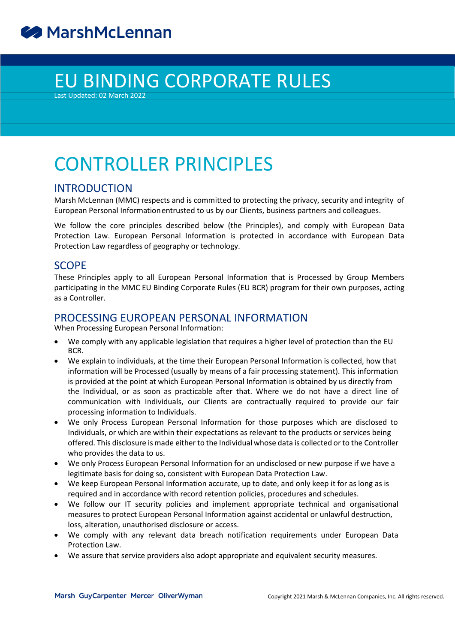# EU BINDING CORPORATE RULES

Last Updated: 02 March 2022

## CONTROLLER PRINCIPLES

### INTRODUCTION

Marsh McLennan (MMC) respects and is committed to protecting the privacy, security and integrity of European Personal Informationentrusted to us by our Clients, business partners and colleagues.

We follow the core principles described below (the Principles), and comply with European Data Protection Law. European Personal Information is protected in accordance with European Data Protection Law regardless of geography or technology.

### SCOPE

These Principles apply to all European Personal Information that is Processed by Group Members participating in the MMC EU Binding Corporate Rules (EU BCR) program for their own purposes, acting as a Controller.

### PROCESSING EUROPEAN PERSONAL INFORMATION

When Processing European Personal Information:

- We comply with any applicable legislation that requires a higher level of protection than the EU BCR.
- We explain to individuals, at the time their European Personal Information is collected, how that information will be Processed (usually by means of a fair processing statement). This information is provided at the point at which European Personal Information is obtained by us directly from the Individual, or as soon as practicable after that. Where we do not have a direct line of communication with Individuals, our Clients are contractually required to provide our fair processing information to Individuals.
- We only Process European Personal Information for those purposes which are disclosed to Individuals, or which are within their expectations as relevant to the products or services being offered. This disclosure ismade either to the Individual whose data is collected orto the Controller who provides the data to us.
- We only Process European Personal Information for an undisclosed or new purpose if we have a legitimate basis for doing so, consistent with European Data Protection Law.
- We keep European Personal Information accurate, up to date, and only keep it for as long as is required and in accordance with record retention policies, procedures and schedules.
- We follow our IT security policies and implement appropriate technical and organisational measures to protect European Personal Information against accidental or unlawful destruction, loss, alteration, unauthorised disclosure or access.
- We comply with any relevant data breach notification requirements under European Data Protection Law.
- We assure that service providers also adopt appropriate and equivalent security measures.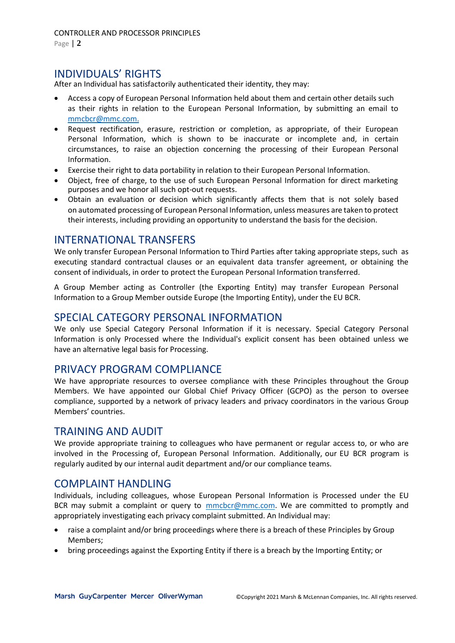Page | **2**

### INDIVIDUALS' RIGHTS

After an Individual has satisfactorily authenticated their identity, they may:

- Access a copy of European Personal Information held about them and certain other details such as their rights in relation to the European Personal Information, by submitting an email to [mmcbcr@mmc.com.](mailto:mmcbcr@mmc.com.)
- Request rectification, erasure, restriction or completion, as appropriate, of their European Personal Information, which is shown to be inaccurate or incomplete and, in certain circumstances, to raise an objection concerning the processing of their European Personal Information.
- Exercise their right to data portability in relation to their European Personal Information.
- Object, free of charge, to the use of such European Personal Information for direct marketing purposes and we honor all such opt-out requests.
- Obtain an evaluation or decision which significantly affects them that is not solely based on automated processing of European Personal Information, unless measures are taken to protect their interests, including providing an opportunity to understand the basis for the decision.

### INTERNATIONAL TRANSFERS

We only transfer European Personal Information to Third Parties after taking appropriate steps, such as executing standard contractual clauses or an equivalent data transfer agreement, or obtaining the consent of individuals, in order to protect the European Personal Information transferred.

A Group Member acting as Controller (the Exporting Entity) may transfer European Personal Information to a Group Member outside Europe (the Importing Entity), under the EU BCR.

### SPECIAL CATEGORY PERSONAL INFORMATION

We only use Special Category Personal Information if it is necessary. Special Category Personal Information is only Processed where the Individual's explicit consent has been obtained unless we have an alternative legal basis for Processing.

### PRIVACY PROGRAM COMPLIANCE

We have appropriate resources to oversee compliance with these Principles throughout the Group Members. We have appointed our Global Chief Privacy Officer (GCPO) as the person to oversee compliance, supported by a network of privacy leaders and privacy coordinators in the various Group Members' countries.

### TRAINING AND AUDIT

We provide appropriate training to colleagues who have permanent or regular access to, or who are involved in the Processing of, European Personal Information. Additionally, our EU BCR program is regularly audited by our internal audit department and/or our compliance teams.

### COMPLAINT HANDLING

Individuals, including colleagues, whose European Personal Information is Processed under the EU BCR may submit a complaint or query to [mmcbcr@mmc.com.](mailto:mmcbcr@mmc.com) We are committed to promptly and appropriately investigating each privacy complaint submitted. An Individual may:

- raise a complaint and/or bring proceedings where there is a breach of these Principles by Group Members;
- bring proceedings against the Exporting Entity if there is a breach by the Importing Entity; or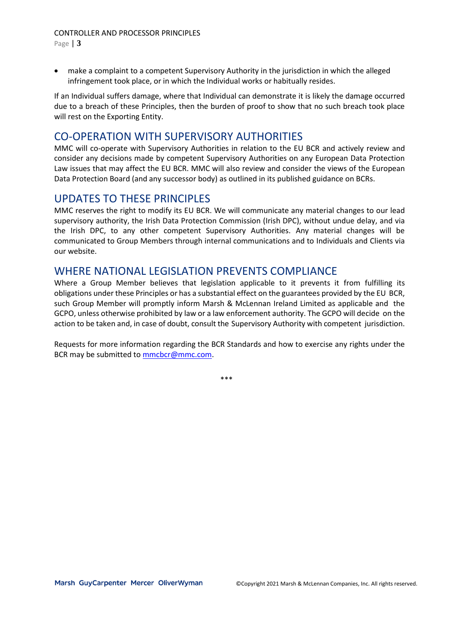Page | **3**

 make a complaint to a competent Supervisory Authority in the jurisdiction in which the alleged infringement took place, or in which the Individual works or habitually resides.

If an Individual suffers damage, where that Individual can demonstrate it is likely the damage occurred due to a breach of these Principles, then the burden of proof to show that no such breach took place will rest on the Exporting Entity.

## CO-OPERATION WITH SUPERVISORY AUTHORITIES

MMC will co-operate with Supervisory Authorities in relation to the EU BCR and actively review and consider any decisions made by competent Supervisory Authorities on any European Data Protection Law issues that may affect the EU BCR. MMC will also review and consider the views of the European Data Protection Board (and any successor body) as outlined in its published guidance on BCRs.

## UPDATES TO THESE PRINCIPLES

MMC reserves the right to modify its EU BCR. We will communicate any material changes to our lead supervisory authority, the Irish Data Protection Commission (Irish DPC), without undue delay, and via the Irish DPC, to any other competent Supervisory Authorities. Any material changes will be communicated to Group Members through internal communications and to Individuals and Clients via our website.

## WHERE NATIONAL LEGISLATION PREVENTS COMPLIANCE

Where a Group Member believes that legislation applicable to it prevents it from fulfilling its obligations under these Principles or has a substantial effect on the guarantees provided by the EU BCR, such Group Member will promptly inform Marsh & McLennan Ireland Limited as applicable and the GCPO, unless otherwise prohibited by law or a law enforcement authority. The GCPO will decide on the action to be taken and, in case of doubt, consult the Supervisory Authority with competent jurisdiction.

Requests for more information regarding the BCR Standards and how to exercise any rights under the BCR may be submitted to **mmcbcr@mmc.com**.

\*\*\*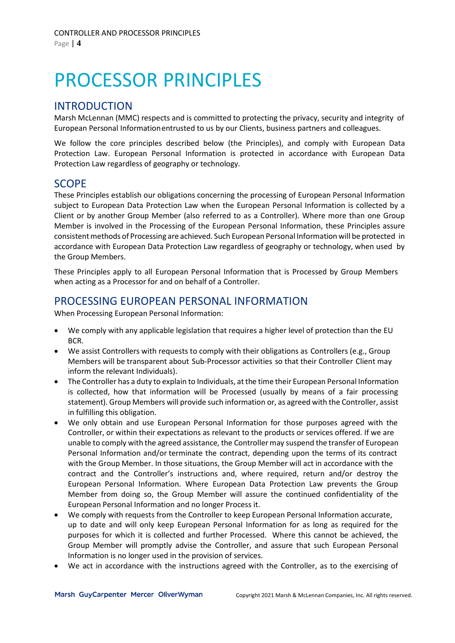# PROCESSOR PRINCIPLES

### INTRODUCTION

Marsh McLennan (MMC) respects and is committed to protecting the privacy, security and integrity of European Personal Informationentrusted to us by our Clients, business partners and colleagues.

We follow the core principles described below (the Principles), and comply with European Data Protection Law. European Personal Information is protected in accordance with European Data Protection Law regardless of geography or technology.

### SCOPE

These Principles establish our obligations concerning the processing of European Personal Information subject to European Data Protection Law when the European Personal Information is collected by a Client or by another Group Member (also referred to as a Controller). Where more than one Group Member is involved in the Processing of the European Personal Information, these Principles assure consistentmethods of Processing are achieved. Such European Personal Information will be protected in accordance with European Data Protection Law regardless of geography or technology, when used by the Group Members.

These Principles apply to all European Personal Information that is Processed by Group Members when acting as a Processor for and on behalf of a Controller.

### PROCESSING EUROPEAN PERSONAL INFORMATION

When Processing European Personal Information:

- We comply with any applicable legislation that requires a higher level of protection than the EU BCR.
- We assist Controllers with requests to comply with their obligations as Controllers (e.g., Group Members will be transparent about Sub-Processor activities so that their Controller Client may inform the relevant Individuals).
- The Controller has a duty to explain to Individuals, at the time their European Personal Information is collected, how that information will be Processed (usually by means of a fair processing statement). Group Members will provide such information or, as agreed with the Controller, assist in fulfilling this obligation.
- We only obtain and use European Personal Information for those purposes agreed with the Controller, or within their expectations as relevant to the products or services offered. If we are unable to comply with the agreed assistance, the Controller may suspend the transfer of European Personal Information and/or terminate the contract, depending upon the terms of its contract with the Group Member. In those situations, the Group Member will act in accordance with the contract and the Controller's instructions and, where required, return and/or destroy the European Personal Information. Where European Data Protection Law prevents the Group Member from doing so, the Group Member will assure the continued confidentiality of the European Personal Information and no longer Process it.
- We comply with requests from the Controller to keep European Personal Information accurate, up to date and will only keep European Personal Information for as long as required for the purposes for which it is collected and further Processed. Where this cannot be achieved, the Group Member will promptly advise the Controller, and assure that such European Personal Information is no longer used in the provision of services.
- We act in accordance with the instructions agreed with the Controller, as to the exercising of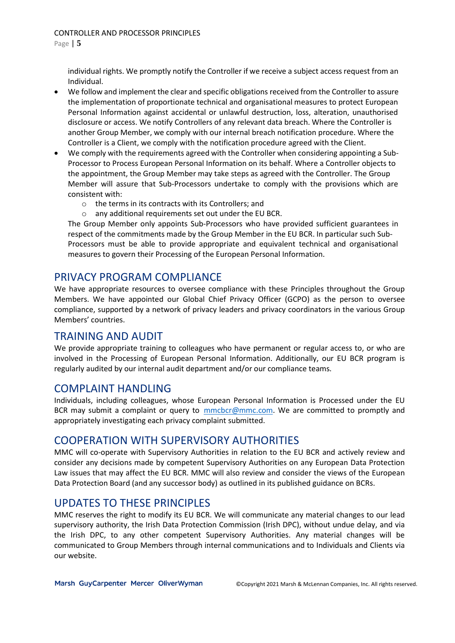individual rights. We promptly notify the Controller if we receive a subject access request from an Individual.

- We follow and implement the clear and specific obligations received from the Controller to assure the implementation of proportionate technical and organisational measures to protect European Personal Information against accidental or unlawful destruction, loss, alteration, unauthorised disclosure or access. We notify Controllers of any relevant data breach. Where the Controller is another Group Member, we comply with our internal breach notification procedure. Where the Controller is a Client, we comply with the notification procedure agreed with the Client.
- We comply with the requirements agreed with the Controller when considering appointing a Sub-Processor to Process European Personal Information on its behalf. Where a Controller objects to the appointment, the Group Member may take steps as agreed with the Controller. The Group Member will assure that Sub-Processors undertake to comply with the provisions which are consistent with:
	- o the terms in its contracts with its Controllers; and
	- o any additional requirements set out under the EU BCR.

The Group Member only appoints Sub-Processors who have provided sufficient guarantees in respect of the commitments made by the Group Member in the EU BCR. In particular such Sub-Processors must be able to provide appropriate and equivalent technical and organisational measures to govern their Processing of the European Personal Information.

## PRIVACY PROGRAM COMPLIANCE

We have appropriate resources to oversee compliance with these Principles throughout the Group Members. We have appointed our Global Chief Privacy Officer (GCPO) as the person to oversee compliance, supported by a network of privacy leaders and privacy coordinators in the various Group Members' countries.

### TRAINING AND AUDIT

We provide appropriate training to colleagues who have permanent or regular access to, or who are involved in the Processing of European Personal Information. Additionally, our EU BCR program is regularly audited by our internal audit department and/or our compliance teams.

### COMPLAINT HANDLING

Individuals, including colleagues, whose European Personal Information is Processed under the EU BCR may submit a complaint or query to [mmcbcr@mmc.com.](mailto:mmcbcr@mmc.com) We are committed to promptly and appropriately investigating each privacy complaint submitted.

### COOPERATION WITH SUPERVISORY AUTHORITIES

MMC will co-operate with Supervisory Authorities in relation to the EU BCR and actively review and consider any decisions made by competent Supervisory Authorities on any European Data Protection Law issues that may affect the EU BCR. MMC will also review and consider the views of the European Data Protection Board (and any successor body) as outlined in its published guidance on BCRs.

### UPDATES TO THESE PRINCIPLES

MMC reserves the right to modify its EU BCR. We will communicate any material changes to our lead supervisory authority, the Irish Data Protection Commission (Irish DPC), without undue delay, and via the Irish DPC, to any other competent Supervisory Authorities. Any material changes will be communicated to Group Members through internal communications and to Individuals and Clients via our website.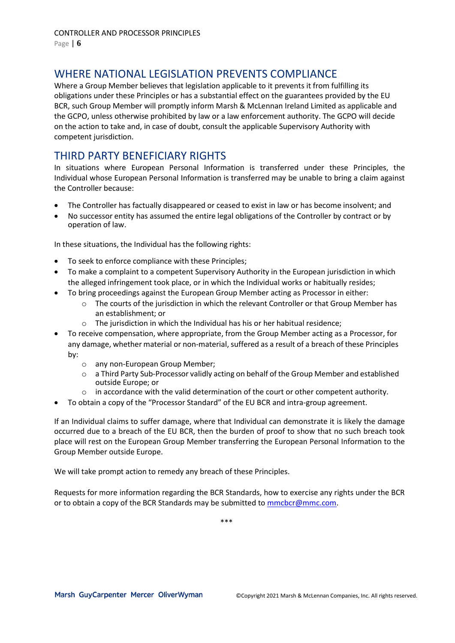## WHERE NATIONAL LEGISLATION PREVENTS COMPLIANCE

Where a Group Member believes that legislation applicable to it prevents it from fulfilling its obligations under these Principles or has a substantial effect on the guarantees provided by the EU BCR, such Group Member will promptly inform Marsh & McLennan Ireland Limited as applicable and the GCPO, unless otherwise prohibited by law or a law enforcement authority. The GCPO will decide on the action to take and, in case of doubt, consult the applicable Supervisory Authority with competent jurisdiction.

## THIRD PARTY BENEFICIARY RIGHTS

In situations where European Personal Information is transferred under these Principles, the Individual whose European Personal Information is transferred may be unable to bring a claim against the Controller because:

- The Controller has factually disappeared or ceased to exist in law or has become insolvent; and
- No successor entity has assumed the entire legal obligations of the Controller by contract or by operation of law.

In these situations, the Individual has the following rights:

- To seek to enforce compliance with these Principles;
- To make a complaint to a competent Supervisory Authority in the European jurisdiction in which the alleged infringement took place, or in which the Individual works or habitually resides;
- To bring proceedings against the European Group Member acting as Processor in either:
	- $\circ$  The courts of the jurisdiction in which the relevant Controller or that Group Member has an establishment; or
	- $\circ$  The jurisdiction in which the Individual has his or her habitual residence;
- To receive compensation, where appropriate, from the Group Member acting as a Processor, for any damage, whether material or non-material, suffered as a result of a breach of these Principles by:
	- o any non-European Group Member;
	- o a Third Party Sub-Processor validly acting on behalf of the Group Member and established outside Europe; or
	- $\circ$  in accordance with the valid determination of the court or other competent authority.
- To obtain a copy of the "Processor Standard" of the EU BCR and intra-group agreement.

If an Individual claims to suffer damage, where that Individual can demonstrate it is likely the damage occurred due to a breach of the EU BCR, then the burden of proof to show that no such breach took place will rest on the European Group Member transferring the European Personal Information to the Group Member outside Europe.

We will take prompt action to remedy any breach of these Principles.

Requests for more information regarding the BCR Standards, how to exercise any rights under the BCR or to obtain a copy of the BCR Standards may be submitted to **mmcbcr@mmc.com**.

\*\*\*